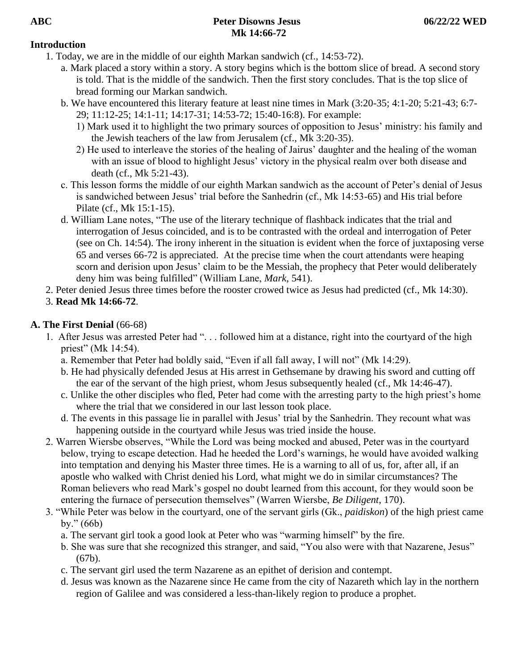## **Introduction**

- 1. Today, we are in the middle of our eighth Markan sandwich (cf., 14:53-72).
	- a. Mark placed a story within a story. A story begins which is the bottom slice of bread. A second story is told. That is the middle of the sandwich. Then the first story concludes. That is the top slice of bread forming our Markan sandwich.
	- b. We have encountered this literary feature at least nine times in Mark (3:20-35; 4:1-20; 5:21-43; 6:7- 29; 11:12-25; 14:1-11; 14:17-31; 14:53-72; 15:40-16:8). For example:
		- 1) Mark used it to highlight the two primary sources of opposition to Jesus' ministry: his family and the Jewish teachers of the law from Jerusalem (cf., Mk 3:20-35).
		- 2) He used to interleave the stories of the healing of Jairus' daughter and the healing of the woman with an issue of blood to highlight Jesus' victory in the physical realm over both disease and death (cf., Mk 5:21-43).
	- c. This lesson forms the middle of our eighth Markan sandwich as the account of Peter's denial of Jesus is sandwiched between Jesus' trial before the Sanhedrin (cf., Mk 14:53-65) and His trial before Pilate (cf., Mk 15:1-15).
	- d. William Lane notes, "The use of the literary technique of flashback indicates that the trial and interrogation of Jesus coincided, and is to be contrasted with the ordeal and interrogation of Peter (see on Ch. 14:54). The irony inherent in the situation is evident when the force of juxtaposing verse 65 and verses 66-72 is appreciated. At the precise time when the court attendants were heaping scorn and derision upon Jesus' claim to be the Messiah, the prophecy that Peter would deliberately deny him was being fulfilled" (William Lane, *Mark*, 541).
- 2. Peter denied Jesus three times before the rooster crowed twice as Jesus had predicted (cf., Mk 14:30).
- 3. **Read Mk 14:66-72**.

# **A. The First Denial** (66-68)

- 1. After Jesus was arrested Peter had ". . . followed him at a distance, right into the courtyard of the high priest" (Mk 14:54).
	- a. Remember that Peter had boldly said, "Even if all fall away, I will not" (Mk 14:29).
	- b. He had physically defended Jesus at His arrest in Gethsemane by drawing his sword and cutting off the ear of the servant of the high priest, whom Jesus subsequently healed (cf., Mk 14:46-47).
	- c. Unlike the other disciples who fled, Peter had come with the arresting party to the high priest's home where the trial that we considered in our last lesson took place.
	- d. The events in this passage lie in parallel with Jesus' trial by the Sanhedrin. They recount what was happening outside in the courtyard while Jesus was tried inside the house.
- 2. Warren Wiersbe observes, "While the Lord was being mocked and abused, Peter was in the courtyard below, trying to escape detection. Had he heeded the Lord's warnings, he would have avoided walking into temptation and denying his Master three times. He is a warning to all of us, for, after all, if an apostle who walked with Christ denied his Lord, what might we do in similar circumstances? The Roman believers who read Mark's gospel no doubt learned from this account, for they would soon be entering the furnace of persecution themselves" (Warren Wiersbe, *Be Diligent*, 170).
- 3. "While Peter was below in the courtyard, one of the servant girls (Gk., *paidiskon*) of the high priest came by." (66b)
	- a. The servant girl took a good look at Peter who was "warming himself" by the fire.
	- b. She was sure that she recognized this stranger, and said, "You also were with that Nazarene, Jesus" (67b).
	- c. The servant girl used the term Nazarene as an epithet of derision and contempt.
	- d. Jesus was known as the Nazarene since He came from the city of Nazareth which lay in the northern region of Galilee and was considered a less-than-likely region to produce a prophet.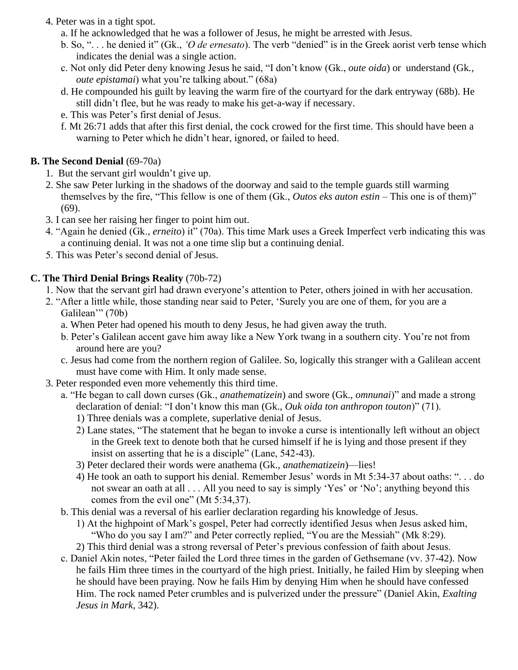- 4. Peter was in a tight spot.
	- a. If he acknowledged that he was a follower of Jesus, he might be arrested with Jesus.
	- b. So, ". . . he denied it" (Gk., *'O de ernesato*). The verb "denied" is in the Greek aorist verb tense which indicates the denial was a single action.
	- c. Not only did Peter deny knowing Jesus he said, "I don't know (Gk., *oute oida*) or understand (Gk*., oute epistamai*) what you're talking about." (68a)
	- d. He compounded his guilt by leaving the warm fire of the courtyard for the dark entryway (68b). He still didn't flee, but he was ready to make his get-a-way if necessary.
	- e. This was Peter's first denial of Jesus.
	- f. Mt 26:71 adds that after this first denial, the cock crowed for the first time. This should have been a warning to Peter which he didn't hear, ignored, or failed to heed.

#### **B. The Second Denial** (69-70a)

- 1. But the servant girl wouldn't give up.
- 2. She saw Peter lurking in the shadows of the doorway and said to the temple guards still warming themselves by the fire, "This fellow is one of them (Gk., *Outos eks auton estin* – This one is of them)" (69).
- 3. I can see her raising her finger to point him out.
- 4. "Again he denied (Gk., *erneito*) it" (70a). This time Mark uses a Greek Imperfect verb indicating this was a continuing denial. It was not a one time slip but a continuing denial.
- 5. This was Peter's second denial of Jesus.

### **C. The Third Denial Brings Reality** (70b-72)

- 1. Now that the servant girl had drawn everyone's attention to Peter, others joined in with her accusation.
- 2. "After a little while, those standing near said to Peter, 'Surely you are one of them, for you are a Galilean'" (70b)
	- a. When Peter had opened his mouth to deny Jesus, he had given away the truth.
	- b. Peter's Galilean accent gave him away like a New York twang in a southern city. You're not from around here are you?
	- c. Jesus had come from the northern region of Galilee. So, logically this stranger with a Galilean accent must have come with Him. It only made sense.
- 3. Peter responded even more vehemently this third time.
	- a. "He began to call down curses (Gk., *anathematizein*) and swore (Gk., *omnunai*)" and made a strong declaration of denial: "I don't know this man (Gk., *Ouk oida ton anthropon touton*)" (71).
		- 1) Three denials was a complete, superlative denial of Jesus.
		- 2) Lane states, "The statement that he began to invoke a curse is intentionally left without an object in the Greek text to denote both that he cursed himself if he is lying and those present if they insist on asserting that he is a disciple" (Lane, 542-43).
		- 3) Peter declared their words were anathema (Gk., *anathematizein*)—lies!
		- 4) He took an oath to support his denial. Remember Jesus' words in Mt 5:34-37 about oaths: ". . . do not swear an oath at all . . . All you need to say is simply 'Yes' or 'No'; anything beyond this comes from the evil one" (Mt 5:34,37).
	- b. This denial was a reversal of his earlier declaration regarding his knowledge of Jesus.
		- 1) At the highpoint of Mark's gospel, Peter had correctly identified Jesus when Jesus asked him, "Who do you say I am?" and Peter correctly replied, "You are the Messiah" (Mk 8:29).
		- 2) This third denial was a strong reversal of Peter's previous confession of faith about Jesus.
	- c. Daniel Akin notes, "Peter failed the Lord three times in the garden of Gethsemane (vv. 37-42). Now he fails Him three times in the courtyard of the high priest. Initially, he failed Him by sleeping when he should have been praying. Now he fails Him by denying Him when he should have confessed Him. The rock named Peter crumbles and is pulverized under the pressure" (Daniel Akin, *Exalting Jesus in Mark*, 342).